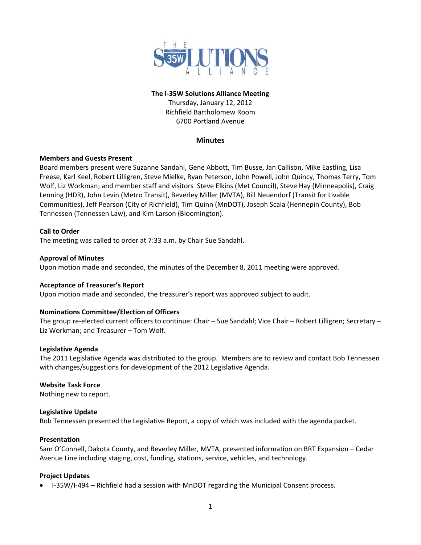

# **The I‐35W Solutions Alliance Meeting** Thursday, January 12, 2012

Richfield Bartholomew Room 6700 Portland Avenue

# **Minutes**

# **Members and Guests Present**

Board members present were Suzanne Sandahl, Gene Abbott, Tim Busse, Jan Callison, Mike Eastling, Lisa Freese, Karl Keel, Robert Lilligren, Steve Mielke, Ryan Peterson, John Powell, John Quincy, Thomas Terry, Tom Wolf, Liz Workman; and member staff and visitors Steve Elkins (Met Council), Steve Hay (Minneapolis), Craig Lenning (HDR), John Levin (Metro Transit), Beverley Miller (MVTA), Bill Neuendorf (Transit for Livable Communities), Jeff Pearson (City of Richfield), Tim Quinn (MnDOT), Joseph Scala (Hennepin County), Bob Tennessen (Tennessen Law), and Kim Larson (Bloomington).

## **Call to Order**

The meeting was called to order at 7:33 a.m. by Chair Sue Sandahl.

#### **Approval of Minutes**

Upon motion made and seconded, the minutes of the December 8, 2011 meeting were approved.

#### **Acceptance of Treasurer's Report**

Upon motion made and seconded, the treasurer's report was approved subject to audit.

#### **Nominations Committee/Election of Officers**

The group re‐elected current officers to continue: Chair – Sue Sandahl; Vice Chair – Robert Lilligren; Secretary – Liz Workman; and Treasurer – Tom Wolf.

#### **Legislative Agenda**

The 2011 Legislative Agenda was distributed to the group. Members are to review and contact Bob Tennessen with changes/suggestions for development of the 2012 Legislative Agenda.

#### **Website Task Force**

Nothing new to report.

#### **Legislative Update**

Bob Tennessen presented the Legislative Report, a copy of which was included with the agenda packet.

#### **Presentation**

Sam O'Connell, Dakota County, and Beverley Miller, MVTA, presented information on BRT Expansion – Cedar Avenue Line including staging, cost, funding, stations, service, vehicles, and technology.

#### **Project Updates**

■ I-35W/I-494 – Richfield had a session with MnDOT regarding the Municipal Consent process.